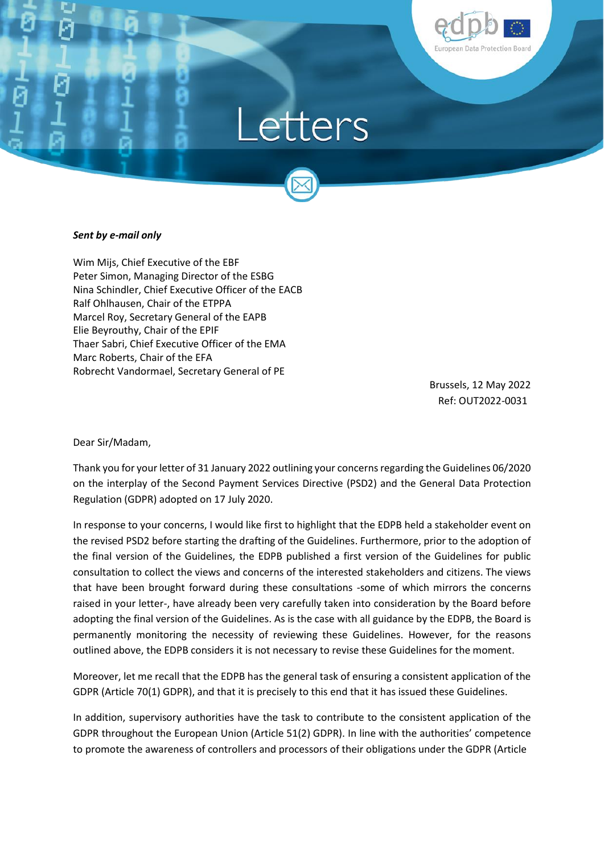



## *Sent by e-mail only*

Wim Mijs, Chief Executive of the EBF Peter Simon, Managing Director of the ESBG Nina Schindler, Chief Executive Officer of the EACB Ralf Ohlhausen, Chair of the ETPPA Marcel Roy, Secretary General of the EAPB Elie Beyrouthy, Chair of the EPIF Thaer Sabri, Chief Executive Officer of the EMA Marc Roberts, Chair of the EFA Robrecht Vandormael, Secretary General of PE

> Brussels, 12 May 2022 Ref: OUT2022-0031

Dear Sir/Madam,

Thank you for your letter of 31 January 2022 outlining your concerns regarding the Guidelines 06/2020 on the interplay of the Second Payment Services Directive (PSD2) and the General Data Protection Regulation (GDPR) adopted on 17 July 2020.

In response to your concerns, I would like first to highlight that the EDPB held a stakeholder event on the revised PSD2 before starting the drafting of the Guidelines. Furthermore, prior to the adoption of the final version of the Guidelines, the EDPB published a first version of the Guidelines for public consultation to collect the views and concerns of the interested stakeholders and citizens. The views that have been brought forward during these consultations -some of which mirrors the concerns raised in your letter-, have already been very carefully taken into consideration by the Board before adopting the final version of the Guidelines. As is the case with all guidance by the EDPB, the Board is permanently monitoring the necessity of reviewing these Guidelines. However, for the reasons outlined above, the EDPB considers it is not necessary to revise these Guidelines for the moment.

Moreover, let me recall that the EDPB has the general task of ensuring a consistent application of the GDPR (Article 70(1) GDPR), and that it is precisely to this end that it has issued these Guidelines.

In addition, supervisory authorities have the task to contribute to the consistent application of the GDPR throughout the European Union (Article 51(2) GDPR). In line with the authorities' competence to promote the awareness of controllers and processors of their obligations under the GDPR (Article